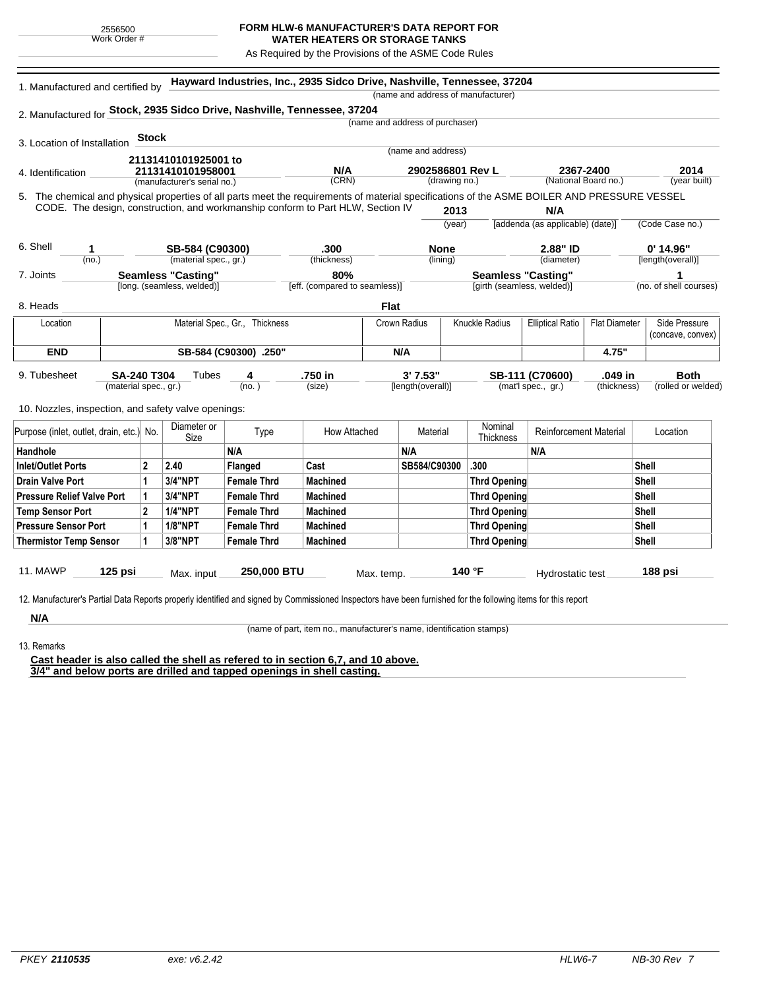## **FORM HLW-6 MANUFACTURER'S DATA REPORT FOR**

**WATER HEATERS OR STORAGE TANKS** As Required by the Provisions of the ASME Code Rules

| 1. Manufactured and certified by                                                                                                             |                       |                                                  |                                          |                                | Hayward Industries, Inc., 2935 Sidco Drive, Nashville, Tennessee, 37204         |              |                                   |        | (name and address of manufacturer) |                                  |                      |                                    |
|----------------------------------------------------------------------------------------------------------------------------------------------|-----------------------|--------------------------------------------------|------------------------------------------|--------------------------------|---------------------------------------------------------------------------------|--------------|-----------------------------------|--------|------------------------------------|----------------------------------|----------------------|------------------------------------|
|                                                                                                                                              |                       |                                                  |                                          |                                |                                                                                 |              |                                   |        |                                    |                                  |                      |                                    |
| 2. Manufactured for Stock, 2935 Sidco Drive, Nashville, Tennessee, 37204                                                                     |                       |                                                  |                                          |                                |                                                                                 |              | (name and address of purchaser)   |        |                                    |                                  |                      |                                    |
|                                                                                                                                              |                       | <b>Stock</b>                                     |                                          |                                |                                                                                 |              |                                   |        |                                    |                                  |                      |                                    |
| 3. Location of Installation                                                                                                                  |                       |                                                  |                                          |                                |                                                                                 |              | (name and address)                |        |                                    |                                  |                      |                                    |
|                                                                                                                                              | 21131410101925001 to  |                                                  |                                          |                                | N/A                                                                             |              |                                   |        |                                    | 2367-2400                        |                      | 2014                               |
| 4. Identification                                                                                                                            |                       | 21131410101958001<br>(manufacturer's serial no.) |                                          |                                | (CRN)                                                                           |              | 2902586801 Rev L<br>(drawing no.) |        | (National Board no.)               |                                  | (year built)         |                                    |
| 5. The chemical and physical properties of all parts meet the requirements of material specifications of the ASME BOILER AND PRESSURE VESSEL |                       |                                                  |                                          |                                |                                                                                 |              |                                   |        |                                    |                                  |                      |                                    |
|                                                                                                                                              |                       |                                                  |                                          |                                | CODE. The design, construction, and workmanship conform to Part HLW, Section IV |              |                                   | 2013   |                                    | N/A                              |                      |                                    |
|                                                                                                                                              |                       |                                                  |                                          |                                |                                                                                 |              |                                   | (year) |                                    | [addenda (as applicable) (date)] |                      | (Code Case no.)                    |
|                                                                                                                                              |                       |                                                  |                                          |                                |                                                                                 |              |                                   |        |                                    |                                  |                      |                                    |
| 6. Shell<br>1<br>(no.)                                                                                                                       |                       |                                                  | SB-584 (C90300)<br>(material spec., gr.) |                                | .300<br>(thickness)                                                             |              | <b>None</b><br>(lining)           |        |                                    | 2.88" ID<br>(diameter)           |                      | $0'$ 14.96"<br>[length(overall)]   |
| 7. Joints                                                                                                                                    |                       |                                                  | <b>Seamless "Casting"</b>                |                                | 80%                                                                             |              |                                   |        |                                    |                                  |                      | 1                                  |
|                                                                                                                                              |                       |                                                  | [long. (seamless, welded)]               |                                | [eff. (compared to seamless)]                                                   |              |                                   |        | [girth (seamless, welded)]         | <b>Seamless "Casting"</b>        |                      | (no. of shell courses)             |
| 8. Heads                                                                                                                                     |                       |                                                  |                                          |                                |                                                                                 | <b>Flat</b>  |                                   |        |                                    |                                  |                      |                                    |
|                                                                                                                                              |                       |                                                  |                                          |                                |                                                                                 |              |                                   |        |                                    |                                  |                      |                                    |
| Location                                                                                                                                     |                       |                                                  |                                          | Material Spec., Gr., Thickness |                                                                                 | Crown Radius |                                   |        | Knuckle Radius                     | <b>Elliptical Ratio</b>          | <b>Flat Diameter</b> | Side Pressure<br>(concave, convex) |
| <b>END</b><br>SB-584 (C90300) .250"                                                                                                          |                       |                                                  |                                          |                                |                                                                                 | N/A          |                                   |        | 4.75"                              |                                  |                      |                                    |
|                                                                                                                                              |                       |                                                  |                                          |                                |                                                                                 |              |                                   |        |                                    |                                  |                      |                                    |
| 9. Tubesheet                                                                                                                                 |                       | <b>SA-240 T304</b><br>Tubes<br>4                 |                                          |                                | .750 in                                                                         | 3' 7.53"     |                                   |        |                                    | SB-111 (C70600)                  | .049 in              | <b>Both</b>                        |
|                                                                                                                                              | (material spec., gr.) |                                                  |                                          | (no.)                          | (size)                                                                          |              | [length(overall)]                 |        |                                    | (mat'l spec., gr.)               | (thickness)          | (rolled or welded)                 |
| 10. Nozzles, inspection, and safety valve openings:                                                                                          |                       |                                                  |                                          |                                |                                                                                 |              |                                   |        |                                    |                                  |                      |                                    |
|                                                                                                                                              |                       |                                                  | Diameter or                              |                                |                                                                                 |              |                                   |        | Nominal                            |                                  |                      |                                    |
| Purpose (inlet, outlet, drain, etc.) No.                                                                                                     |                       |                                                  | Size                                     | Type                           | How Attached                                                                    |              | Material                          |        | Thickness                          | <b>Reinforcement Material</b>    |                      | Location                           |
| Handhole                                                                                                                                     |                       |                                                  |                                          | N/A                            |                                                                                 |              | N/A                               |        |                                    | N/A                              |                      |                                    |
| <b>Inlet/Outlet Ports</b>                                                                                                                    |                       | $\overline{2}$                                   | 2.40                                     | Flanged                        | Cast                                                                            |              | SB584/C90300                      |        | .300                               |                                  |                      | <b>Shell</b>                       |
| <b>Drain Valve Port</b>                                                                                                                      |                       | 1                                                | <b>3/4"NPT</b>                           | <b>Female Thrd</b>             | <b>Machined</b>                                                                 |              |                                   |        | <b>Thrd Opening</b>                |                                  |                      | <b>Shell</b>                       |
| <b>Pressure Relief Valve Port</b>                                                                                                            |                       | 1                                                | 3/4"NPT                                  | <b>Female Thrd</b>             | <b>Machined</b>                                                                 |              |                                   |        | <b>Thrd Opening</b>                |                                  |                      | <b>Shell</b>                       |
| <b>Temp Sensor Port</b>                                                                                                                      |                       | $\overline{2}$                                   | <b>1/4"NPT</b>                           | <b>Female Thrd</b>             | <b>Machined</b>                                                                 |              |                                   |        | <b>Thrd Opening</b>                |                                  |                      | <b>Shell</b>                       |
| <b>Pressure Sensor Port</b>                                                                                                                  |                       | 1                                                | <b>1/8"NPT</b>                           | <b>Female Thrd</b>             | <b>Machined</b>                                                                 |              |                                   |        | <b>Thrd Opening</b>                |                                  |                      | <b>Shell</b>                       |
| <b>Thermistor Temp Sensor</b>                                                                                                                |                       | 1                                                | 3/8"NPT                                  | <b>Female Thrd</b>             | <b>Machined</b>                                                                 |              |                                   |        | <b>Thrd Opening</b>                |                                  |                      | <b>Shell</b>                       |
|                                                                                                                                              |                       |                                                  |                                          |                                |                                                                                 |              |                                   |        |                                    |                                  |                      |                                    |
|                                                                                                                                              |                       |                                                  |                                          |                                |                                                                                 |              |                                   |        |                                    |                                  |                      | 188 psi                            |

**N/A** 13. Remarks

(name of part, item no., manufacturer's name, identification stamps)

**Cast header is also called the shell as refered to in section 6,7, and 10 above. 3/4" and below ports are drilled and tapped openings in shell casting.**